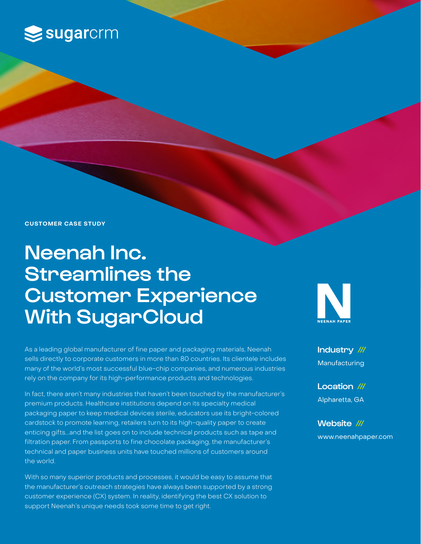

**CUSTOMER CASE STUDY**

# Neenah Inc. Streamlines the Customer Experience With SugarCloud

As a leading global manufacturer of fine paper and packaging materials, Neenah sells directly to corporate customers in more than 80 countries. Its clientele includes many of the world's most successful blue-chip companies, and numerous industries rely on the company for its high-performance products and technologies.

In fact, there aren't many industries that haven't been touched by the manufacturer's premium products. Healthcare institutions depend on its specialty medical packaging paper to keep medical devices sterile, educators use its bright-colored cardstock to promote learning, retailers turn to its high-quality paper to create enticing gifts...and the list goes on to include technical products such as tape and filtration paper. From passports to fine chocolate packaging, the manufacturer's technical and paper business units have touched millions of customers around the world.

With so many superior products and processes, it would be easy to assume that the manufacturer's outreach strategies have always been supported by a strong customer experience (CX) system. In reality, identifying the best CX solution to support Neenah's unique needs took some time to get right.



Industry /// Manufacturing

Location /// Alpharetta, GA

Website /// www.neenahpaper.com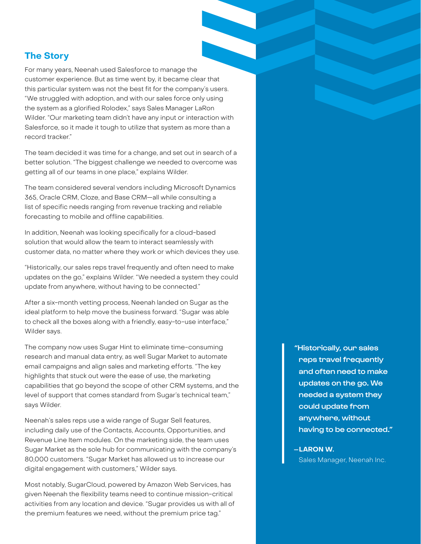#### **The Story**

For many years, Neenah used Salesforce to manage the customer experience. But as time went by, it became clear that this particular system was not the best fit for the company's users. "We struggled with adoption, and with our sales force only using the system as a glorified Rolodex," says Sales Manager LaRon Wilder. "Our marketing team didn't have any input or interaction with Salesforce, so it made it tough to utilize that system as more than a record tracker."

The team decided it was time for a change, and set out in search of a better solution. "The biggest challenge we needed to overcome was getting all of our teams in one place," explains Wilder.

The team considered several vendors including Microsoft Dynamics 365, Oracle CRM, Cloze, and Base CRM—all while consulting a list of specific needs ranging from revenue tracking and reliable forecasting to mobile and offline capabilities.

In addition, Neenah was looking specifically for a cloud-based solution that would allow the team to interact seamlessly with customer data, no matter where they work or which devices they use.

"Historically, our sales reps travel frequently and often need to make updates on the go," explains Wilder. "We needed a system they could update from anywhere, without having to be connected."

After a six-month vetting process, Neenah landed on Sugar as the ideal platform to help move the business forward. "Sugar was able to check all the boxes along with a friendly, easy-to-use interface," Wilder says.

The company now uses Sugar Hint to eliminate time-consuming research and manual data entry, as well Sugar Market to automate email campaigns and align sales and marketing efforts. "The key highlights that stuck out were the ease of use, the marketing capabilities that go beyond the scope of other CRM systems, and the level of support that comes standard from Sugar's technical team," says Wilder.

Neenah's sales reps use a wide range of Sugar Sell features, including daily use of the Contacts, Accounts, Opportunities, and Revenue Line Item modules. On the marketing side, the team uses Sugar Market as the sole hub for communicating with the company's 80,000 customers. "Sugar Market has allowed us to increase our digital engagement with customers," Wilder says.

Most notably, SugarCloud, powered by Amazon Web Services, has given Neenah the flexibility teams need to continue mission-critical activities from any location and device. "Sugar provides us with all of the premium features we need, without the premium price tag."

"Historically, our sales reps travel frequently and often need to make updates on the go. We needed a system they could update from anywhere, without having to be connected."

## **—LARON W.**

Sales Manager, Neenah Inc.